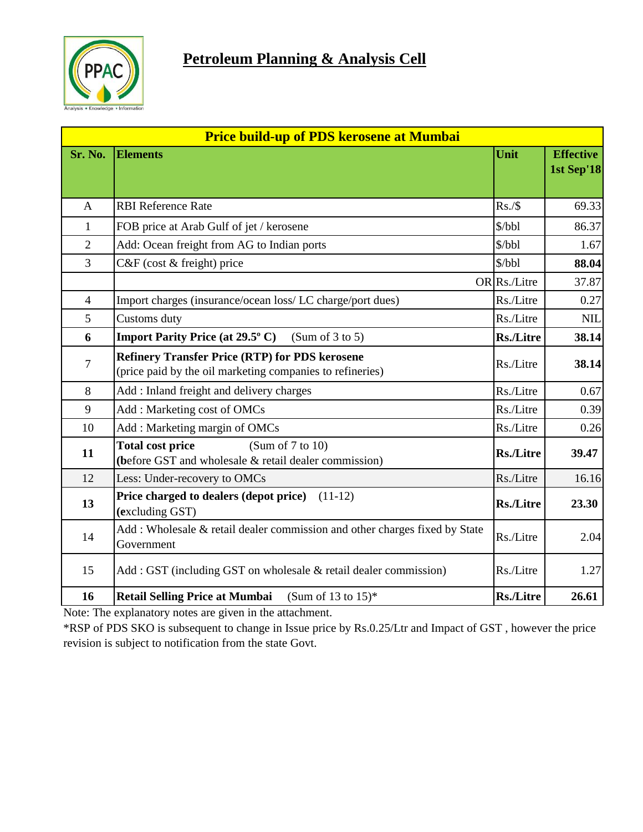

| <b>Price build-up of PDS kerosene at Mumbai</b> |                                                                                                                    |                  |                                |  |  |
|-------------------------------------------------|--------------------------------------------------------------------------------------------------------------------|------------------|--------------------------------|--|--|
| Sr. No.                                         | <b>Elements</b>                                                                                                    | Unit             | <b>Effective</b><br>1st Sep'18 |  |  |
| $\mathbf{A}$                                    | <b>RBI Reference Rate</b>                                                                                          | Rs./\$           | 69.33                          |  |  |
| $\mathbf{1}$                                    | \$/bbl<br>FOB price at Arab Gulf of jet / kerosene                                                                 |                  | 86.37                          |  |  |
| $\overline{2}$                                  | Add: Ocean freight from AG to Indian ports                                                                         |                  | 1.67                           |  |  |
| $\overline{3}$                                  | C&F (cost & freight) price                                                                                         | \$/bbl           | 88.04                          |  |  |
|                                                 |                                                                                                                    | OR Rs./Litre     | 37.87                          |  |  |
| $\overline{4}$                                  | Import charges (insurance/ocean loss/LC charge/port dues)                                                          | Rs./Litre        | 0.27                           |  |  |
| 5                                               | Customs duty                                                                                                       | Rs./Litre        | <b>NIL</b>                     |  |  |
| 6                                               | <b>Import Parity Price (at 29.5° C)</b><br>(Sum of $3$ to $5$ )                                                    | <b>Rs./Litre</b> | 38.14                          |  |  |
| $\tau$                                          | <b>Refinery Transfer Price (RTP) for PDS kerosene</b><br>(price paid by the oil marketing companies to refineries) | Rs./Litre        | 38.14                          |  |  |
| 8                                               | Add: Inland freight and delivery charges                                                                           | Rs./Litre        | 0.67                           |  |  |
| 9                                               | Add: Marketing cost of OMCs                                                                                        |                  | 0.39                           |  |  |
| 10                                              | Add: Marketing margin of OMCs                                                                                      | Rs./Litre        | 0.26                           |  |  |
| 11                                              | <b>Total cost price</b><br>(Sum of $7$ to $10$ )<br>(before GST and wholesale & retail dealer commission)          | <b>Rs./Litre</b> | 39.47                          |  |  |
| 12                                              | Less: Under-recovery to OMCs                                                                                       | Rs./Litre        | 16.16                          |  |  |
| 13                                              | Price charged to dealers (depot price) (11-12)<br>(excluding GST)                                                  | <b>Rs./Litre</b> | 23.30                          |  |  |
| 14                                              | Add: Wholesale & retail dealer commission and other charges fixed by State<br>Government                           | Rs./Litre        | 2.04                           |  |  |
| 15                                              | Add: GST (including GST on wholesale & retail dealer commission)                                                   | Rs./Litre        | 1.27                           |  |  |
| 16                                              | <b>Retail Selling Price at Mumbai</b><br>(Sum of 13 to $15$ )*                                                     | <b>Rs./Litre</b> | 26.61                          |  |  |

Note: The explanatory notes are given in the attachment.

\*RSP of PDS SKO is subsequent to change in Issue price by Rs.0.25/Ltr and Impact of GST , however the price revision is subject to notification from the state Govt.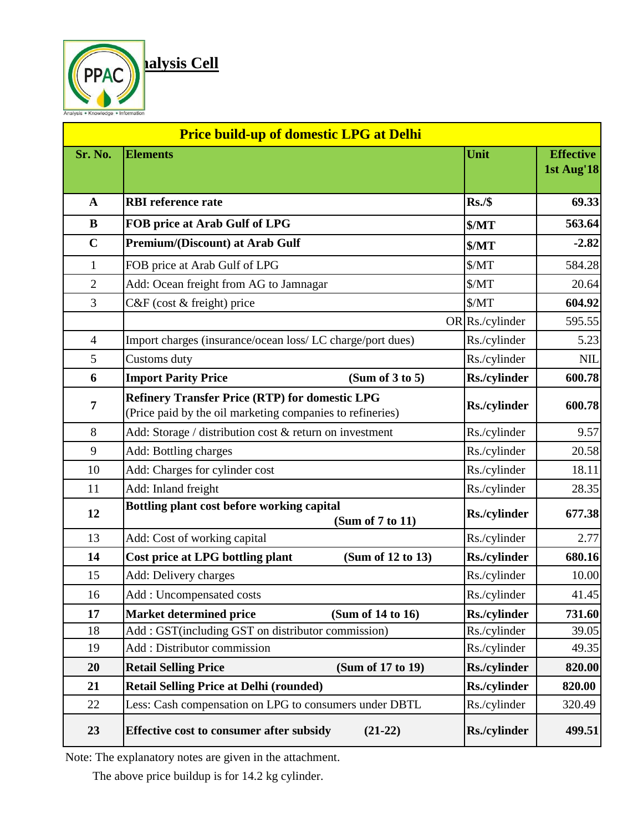

| <b>Price build-up of domestic LPG at Delhi</b> |                                                                                                                    |                     |                                |  |  |
|------------------------------------------------|--------------------------------------------------------------------------------------------------------------------|---------------------|--------------------------------|--|--|
| Sr. No.                                        | <b>Elements</b>                                                                                                    | Unit                | <b>Effective</b><br>1st Aug'18 |  |  |
| $\mathbf{A}$                                   | <b>RBI</b> reference rate                                                                                          | Rs./\$              | 69.33                          |  |  |
| B                                              | FOB price at Arab Gulf of LPG                                                                                      | $M_{T}$             | 563.64                         |  |  |
| $\mathbf C$                                    | <b>Premium/(Discount) at Arab Gulf</b>                                                                             | $M_{T}$             | $-2.82$                        |  |  |
| 1                                              | FOB price at Arab Gulf of LPG                                                                                      | MT                  | 584.28                         |  |  |
| $\overline{2}$                                 | Add: Ocean freight from AG to Jamnagar                                                                             | $M_{T}$             | 20.64                          |  |  |
| 3                                              | C&F (cost & freight) price                                                                                         | $M_{T}$             | 604.92                         |  |  |
|                                                |                                                                                                                    | OR Rs./cylinder     | 595.55                         |  |  |
| $\overline{4}$                                 | Import charges (insurance/ocean loss/ LC charge/port dues)                                                         | Rs./cylinder        | 5.23                           |  |  |
| 5                                              | Customs duty                                                                                                       | Rs./cylinder        | <b>NIL</b>                     |  |  |
| 6                                              | <b>Import Parity Price</b><br>(Sum of 3 to 5)                                                                      | Rs./cylinder        | 600.78                         |  |  |
| 7                                              | <b>Refinery Transfer Price (RTP) for domestic LPG</b><br>(Price paid by the oil marketing companies to refineries) | Rs./cylinder        | 600.78                         |  |  |
| 8                                              | Add: Storage / distribution cost & return on investment                                                            | Rs./cylinder        | 9.57                           |  |  |
| 9                                              | Add: Bottling charges                                                                                              | Rs./cylinder        | 20.58                          |  |  |
| 10                                             | Add: Charges for cylinder cost                                                                                     | Rs./cylinder        | 18.11                          |  |  |
| 11                                             | Add: Inland freight                                                                                                | Rs./cylinder        | 28.35                          |  |  |
| 12                                             | Bottling plant cost before working capital<br>(Sum of 7 to 11)                                                     | Rs./cylinder        | 677.38                         |  |  |
| 13                                             | Add: Cost of working capital                                                                                       | Rs./cylinder        | 2.77                           |  |  |
| 14                                             | Cost price at LPG bottling plant<br>(Sum of 12 to 13)                                                              | <b>Rs./cylinder</b> | 680.16                         |  |  |
| 15                                             | Add: Delivery charges                                                                                              | Rs./cylinder        | 10.00                          |  |  |
| 16                                             | Add: Uncompensated costs                                                                                           | Rs./cylinder        | 41.45                          |  |  |
| 17                                             | <b>Market determined price</b><br>(Sum of 14 to 16)                                                                | Rs./cylinder        | 731.60                         |  |  |
| 18                                             | Add: GST(including GST on distributor commission)                                                                  | Rs./cylinder        | 39.05                          |  |  |
| 19                                             | Add: Distributor commission                                                                                        | Rs./cylinder        | 49.35                          |  |  |
| 20                                             | <b>Retail Selling Price</b><br>(Sum of 17 to 19)                                                                   | Rs./cylinder        | 820.00                         |  |  |
| 21                                             | <b>Retail Selling Price at Delhi (rounded)</b>                                                                     | Rs./cylinder        | 820.00                         |  |  |
| 22                                             | Less: Cash compensation on LPG to consumers under DBTL                                                             | Rs./cylinder        | 320.49                         |  |  |
| 23                                             | <b>Effective cost to consumer after subsidy</b><br>$(21-22)$                                                       | <b>Rs./cylinder</b> | 499.51                         |  |  |

Note: The explanatory notes are given in the attachment.

The above price buildup is for 14.2 kg cylinder.